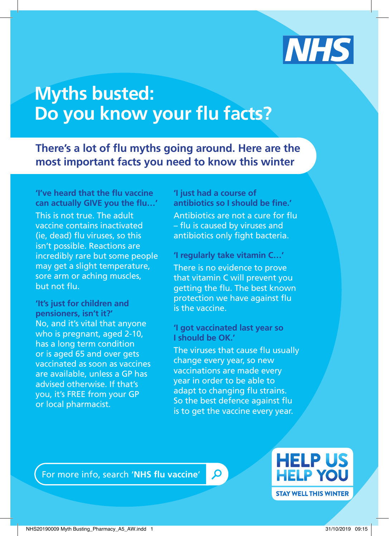

## **Myths busted: Do you know your flu facts?**

**There's a lot of flu myths going around. Here are the most important facts you need to know this winter** 

**'I've heard that the flu vaccine can actually GIVE you the flu…'**  This is not true. The adult vaccine contains inactivated (ie, dead) flu viruses, so this isn't possible. Reactions are incredibly rare but some people may get a slight temperature, sore arm or aching muscles, but not flu.

**'It's just for children and pensioners, isn't it?'**  No, and it's vital that anyone who is pregnant, aged 2-10, has a long term condition or is aged 65 and over gets vaccinated as soon as vaccines are available, unless a GP has advised otherwise. If that's you, it's FREE from your GP or local pharmacist.

**'I just had a course of antibiotics so I should be fine.'**  Antibiotics are not a cure for flu – flu is caused by viruses and antibiotics only fight bacteria.

**'I regularly take vitamin C…'**  There is no evidence to prove that vitamin C will prevent you getting the flu. The best known protection we have against flu is the vaccine.

**'I got vaccinated last year so I should be OK.'** 

The viruses that cause flu usually change every year, so new vaccinations are made every year in order to be able to adapt to changing flu strains. So the best defence against flu is to get the vaccine every year.

Q

For more info, search '**NHS flu vaccine**'